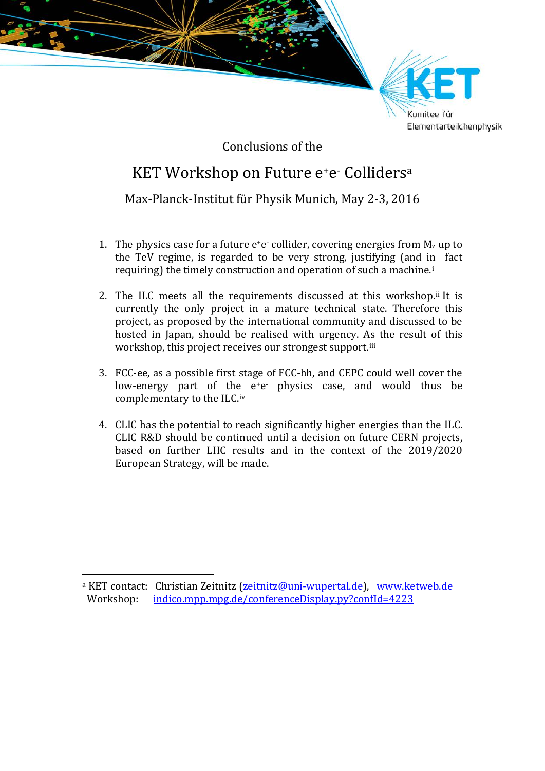

Conclusions of the

## KET Workshop on Future e<sup>+</sup>e<sup>-</sup> Colliders<sup>[a](#page-0-0)</sup>

## Max-Planck-Institut für Physik Munich, May 2-3, 2016

- 1. The physics case for a future  $e^+e^-$  collider, covering energies from  $M_z$  up to the TeV regime, is regarded to be very strong, justifying (and in fact requiring) the timely construction and operation of such a machine.[i](#page-1-0)
- 2. The ILC meets all the requirements discussed at this workshop.<sup>[ii](#page-1-1)</sup> It is currently the only project in a mature technical state. Therefore this project, as proposed by the international community and discussed to be hosted in Japan, should be realised with urgency. [As](#page-1-2) the result of this workshop, this project receives our strongest support.<sup>iii</sup>
- 3. FCC-ee, as a possible first stage of FCC-hh, and CEPC could well cover the low-energy part of th[e](#page-1-3) e<sup>+</sup>e physics case, and would thus be complementary to the ILC.iv
- 4. CLIC has the potential to reach significantly higher energies than the ILC. CLIC R&D should be continued until a decision on future CERN projects, based on further LHC results and in the context of the 2019/2020 European Strategy, will be made.

<span id="page-0-0"></span><sup>&</sup>lt;sup>a</sup> KET contact: Christian Zeitnitz (<u>zeitnitz@uni-wupertal.de</u>), [www.ketweb.de](https://www.ketweb.de/)<br>Workshop: indico.mpp.mpg.de/conferenceDisplay.py?confld=4223 [indico.mpp.mpg.de/conferenceDisplay.py?confId=4223](https://indico.mpp.mpg.de/conferenceDisplay.py?confId=4223)